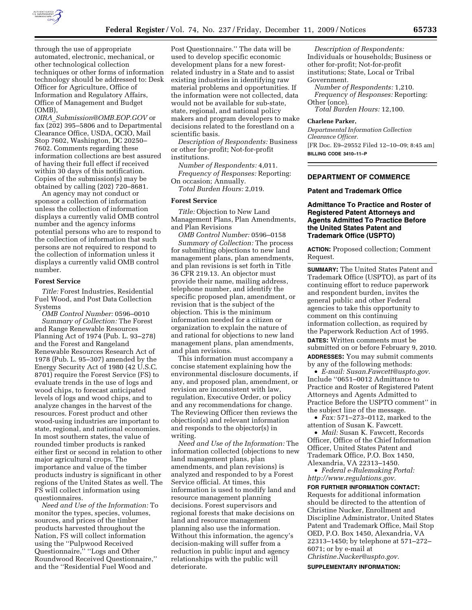

through the use of appropriate automated, electronic, mechanical, or other technological collection techniques or other forms of information technology should be addressed to: Desk Officer for Agriculture, Office of Information and Regulatory Affairs, Office of Management and Budget (OMB),

*OIRA*\_*Submission@OMB.EOP.GOV* or fax (202) 395–5806 and to Departmental Clearance Office, USDA, OCIO, Mail Stop 7602, Washington, DC 20250– 7602. Comments regarding these information collections are best assured of having their full effect if received within 30 days of this notification. Copies of the submission(s) may be obtained by calling (202) 720–8681.

An agency may not conduct or sponsor a collection of information unless the collection of information displays a currently valid OMB control number and the agency informs potential persons who are to respond to the collection of information that such persons are not required to respond to the collection of information unless it displays a currently valid OMB control number.

#### **Forest Service**

*Title:* Forest Industries, Residential Fuel Wood, and Post Data Collection Systems

*OMB Control Number:* 0596–0010 *Summary of Collection:* The Forest and Range Renewable Resources Planning Act of 1974 (Pub. L. 93–278) and the Forest and Rangeland Renewable Resources Research Act of 1978 (Pub. L. 95–307) amended by the Energy Security Act of 1980 (42 U.S.C. 8701) require the Forest Service (FS) to evaluate trends in the use of logs and wood chips, to forecast anticipated levels of logs and wood chips, and to analyze changes in the harvest of the resources. Forest product and other wood-using industries are important to state, regional, and national economies. In most southern states, the value of rounded timber products is ranked either first or second in relation to other major agricultural crops. The importance and value of the timber products industry is significant in other regions of the United States as well. The FS will collect information using questionnaires.

*Need and Use of the Information:* To monitor the types, species, volumes, sources, and prices of the timber products harvested throughout the Nation, FS will collect information using the ''Pulpwood Received Questionnaire,'' ''Logs and Other Roundwood Received Questionnaire,'' and the ''Residential Fuel Wood and

Post Questionnaire.'' The data will be used to develop specific economic development plans for a new forestrelated industry in a State and to assist existing industries in identifying raw material problems and opportunities. If the information were not collected, data would not be available for sub-state, state, regional, and national policy makers and program developers to make decisions related to the forestland on a scientific basis.

*Description of Respondents:* Business or other for-profit; Not-for-profit institutions.

*Number of Respondents:* 4,011. *Frequency of Responses:* Reporting: On occasion; Annually.

*Total Burden Hours:* 2,019.

#### **Forest Service**

*Title:* Objection to New Land Management Plans, Plan Amendments, and Plan Revisions

*OMB Control Number:* 0596–0158 *Summary of Collection:* The process for submitting objections to new land management plans, plan amendments, and plan revisions is set forth in Title 36 CFR 219.13. An objector must provide their name, mailing address, telephone number, and identify the specific proposed plan, amendment, or revision that is the subject of the objection. This is the minimum information needed for a citizen or organization to explain the nature of and rational for objections to new land management plans, plan amendments, and plan revisions.

This information must accompany a concise statement explaining how the environmental disclosure documents, if any, and proposed plan, amendment, or revision are inconsistent with law, regulation, Executive Order, or policy and any recommendations for change. The Reviewing Officer then reviews the objection(s) and relevant information and responds to the objector(s) in writing.

*Need and Use of the Information:* The information collected (objections to new land management plans, plan amendments, and plan revisions) is analyzed and responded to by a Forest Service official. At times, this information is used to modify land and resource management planning decisions. Forest supervisors and regional forests that make decisions on land and resource management planning also use the information. Without this information, the agency's decision-making will suffer from a reduction in public input and agency relationships with the public will deteriorate.

*Description of Respondents:*  Individuals or households; Business or other for-profit; Not-for-profit institutions; State, Local or Tribal Government.

*Number of Respondents:* 1,210. *Frequency of Responses:* Reporting: Other (once).

*Total Burden Hours:* 12,100.

#### **Charlene Parker,**

*Departmental Information Collection Clearance Officer.*  [FR Doc. E9–29552 Filed 12–10–09; 8:45 am] **BILLING CODE 3410–11–P** 

# **DEPARTMENT OF COMMERCE**

#### **Patent and Trademark Office**

**Admittance To Practice and Roster of Registered Patent Attorneys and Agents Admitted To Practice Before the United States Patent and Trademark Office (USPTO)** 

**ACTION:** Proposed collection; Comment Request.

**SUMMARY:** The United States Patent and Trademark Office (USPTO), as part of its continuing effort to reduce paperwork and respondent burden, invites the general public and other Federal agencies to take this opportunity to comment on this continuing information collection, as required by the Paperwork Reduction Act of 1995. **DATES:** Written comments must be submitted on or before February 9, 2010. **ADDRESSES:** You may submit comments by any of the following methods:

• *E-mail: Susan.Fawcett@uspto.gov.*  Include ''0651–0012 Admittance to Practice and Roster of Registered Patent Attorneys and Agents Admitted to Practice Before the USPTO comment'' in the subject line of the message.

• *Fax:* 571–273–0112, marked to the attention of Susan K. Fawcett.

• *Mail:* Susan K. Fawcett, Records Officer, Office of the Chief Information Officer, United States Patent and Trademark Office, P.O. Box 1450, Alexandria, VA 22313–1450.

• *Federal e-Rulemaking Portal: http://www.regulations.gov.* 

**FOR FURTHER INFORMATION CONTACT:**  Requests for additional information should be directed to the attention of Christine Nucker, Enrollment and Discipline Administrator, United States Patent and Trademark Office, Mail Stop OED, P.O. Box 1450, Alexandria, VA 22313–1450; by telephone at 571–272– 6071; or by e-mail at *Christine.Nucker@uspto.gov.* 

**SUPPLEMENTARY INFORMATION:**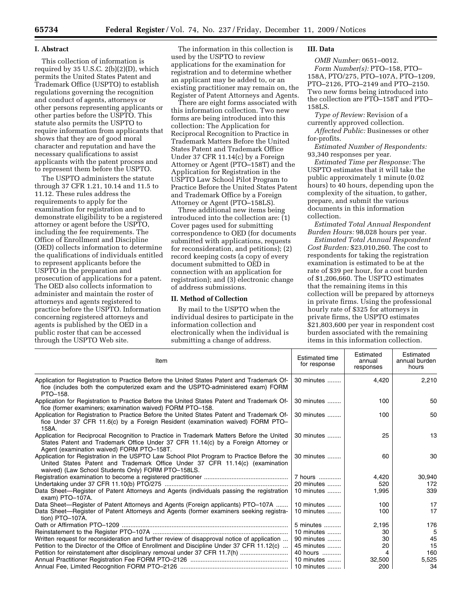### **I. Abstract**

This collection of information is required by 35 U.S.C.  $2(b)(2)(D)$ , which permits the United States Patent and Trademark Office (USPTO) to establish regulations governing the recognition and conduct of agents, attorneys or other persons representing applicants or other parties before the USPTO. This statute also permits the USPTO to require information from applicants that shows that they are of good moral character and reputation and have the necessary qualifications to assist applicants with the patent process and to represent them before the USPTO.

The USPTO administers the statute through 37 CFR 1.21, 10.14 and 11.5 to 11.12. These rules address the requirements to apply for the examination for registration and to demonstrate eligibility to be a registered attorney or agent before the USPTO, including the fee requirements. The Office of Enrollment and Discipline (OED) collects information to determine the qualifications of individuals entitled to represent applicants before the USPTO in the preparation and prosecution of applications for a patent. The OED also collects information to administer and maintain the roster of attorneys and agents registered to practice before the USPTO. Information concerning registered attorneys and agents is published by the OED in a public roster that can be accessed through the USPTO Web site.

The information in this collection is used by the USPTO to review applications for the examination for registration and to determine whether an applicant may be added to, or an existing practitioner may remain on, the Register of Patent Attorneys and Agents.

There are eight forms associated with this information collection. Two new forms are being introduced into this collection: The Application for Reciprocal Recognition to Practice in Trademark Matters Before the United States Patent and Trademark Office Under 37 CFR 11.14(c) by a Foreign Attorney or Agent (PTO–158T) and the Application for Registration in the USPTO Law School Pilot Program to Practice Before the United States Patent and Trademark Office by a Foreign Attorney or Agent (PTO–158LS).

Three additional new items being introduced into the collection are: (1) Cover pages used for submitting correspondence to OED (for documents submitted with applications, requests for reconsideration, and petitions); (2) record keeping costs (a copy of every document submitted to OED in connection with an application for registration); and (3) electronic change of address submissions.

### **II. Method of Collection**

By mail to the USPTO when the individual desires to participate in the information collection and electronically when the individual is submitting a change of address.

# **III. Data**

*OMB Number:* 0651–0012. *Form Number(s):* PTO–158, PTO– 158A, PTO/275, PTO–107A, PTO–1209, PTO–2126, PTO–2149 and PTO–2150. Two new forms being introduced into the collection are PTO–158T and PTO– 158LS.

*Type of Review:* Revision of a currently approved collection.

*Affected Public:* Businesses or other for-profits.

*Estimated Number of Respondents:*  93,340 responses per year.

*Estimated Time per Response:* The USPTO estimates that it will take the public approximately 1 minute (0.02 hours) to 40 hours, depending upon the complexity of the situation, to gather, prepare, and submit the various documents in this information collection.

*Estimated Total Annual Respondent Burden Hours:* 98,028 hours per year.

*Estimated Total Annual Respondent Cost Burden:* \$23,010,260. The cost to respondents for taking the registration examination is estimated to be at the rate of \$39 per hour, for a cost burden of \$1,206,660. The USPTO estimates that the remaining items in this collection will be prepared by attorneys in private firms. Using the professional hourly rate of \$325 for attorneys in private firms, the USPTO estimates \$21,803,600 per year in respondent cost burden associated with the remaining items in this information collection.

| Item                                                                                                                                                                                                                            | <b>Estimated time</b><br>for response | Estimated<br>annual<br>responses | Estimated<br>annual burden<br>hours |
|---------------------------------------------------------------------------------------------------------------------------------------------------------------------------------------------------------------------------------|---------------------------------------|----------------------------------|-------------------------------------|
| Application for Registration to Practice Before the United States Patent and Trademark Of-<br>fice (includes both the computerized exam and the USPTO-administered exam) FORM<br>PTO-158.                                       | 30 minutes                            | 4,420                            | 2,210                               |
| Application for Registration to Practice Before the United States Patent and Trademark Of-<br>fice (former examiners; examination waived) FORM PTO-158.                                                                         | 30 minutes                            | 100                              | 50                                  |
| Application for Registration to Practice Before the United States Patent and Trademark Of-<br>fice Under 37 CFR 11.6(c) by a Foreign Resident (examination waived) FORM PTO-<br>158A.                                           | 30 minutes                            | 100                              | 50                                  |
| Application for Reciprocal Recognition to Practice in Trademark Matters Before the United<br>States Patent and Trademark Office Under 37 CFR 11.14(c) by a Foreign Attorney or<br>Agent (examination waived) FORM PTO-158T.     | 30 minutes                            | 25                               | 13                                  |
| Application for Registration in the USPTO Law School Pilot Program to Practice Before the<br>United States Patent and Trademark Office Under 37 CFR 11.14(c) (examination<br>waived) (Law School Students Only) FORM PTO-158LS. | 30 minutes                            | 60                               | 30                                  |
|                                                                                                                                                                                                                                 | 7 hours                               | 4,420                            | 30,940                              |
|                                                                                                                                                                                                                                 | 20 minutes                            | 520                              | 172                                 |
| Data Sheet—Register of Patent Attorneys and Agents (individuals passing the registration<br>exam) PTO-107A.                                                                                                                     | 10 minutes $\ldots$                   | 1,995                            | 339                                 |
| Data Sheet—Register of Patent Attorneys and Agents (Foreign applicants) PTO-107A                                                                                                                                                | 10 minutes                            | 100                              | 17                                  |
| Data Sheet—Register of Patent Attorneys and Agents (former examiners seeking registra-<br>tion) PTO-107A.                                                                                                                       | 10 minutes                            | 100                              | 17                                  |
|                                                                                                                                                                                                                                 | 5 minutes                             | 2,195                            | 176                                 |
|                                                                                                                                                                                                                                 | 10 minutes                            | 30                               | 5                                   |
| Written request for reconsideration and further review of disapproval notice of application                                                                                                                                     | 90 minutes                            | 30                               | 45                                  |
| Petition to the Director of the Office of Enrollment and Discipline Under 37 CFR 11.12(c)                                                                                                                                       | 45 minutes                            | 20                               | 15                                  |
| Petition for reinstatement after disciplinary removal under 37 CFR 11.7(h)                                                                                                                                                      | 40 hours                              | 4                                | 160                                 |
|                                                                                                                                                                                                                                 | 10 minutes                            | 32,500                           | 5,525                               |
|                                                                                                                                                                                                                                 |                                       | 200                              | 34                                  |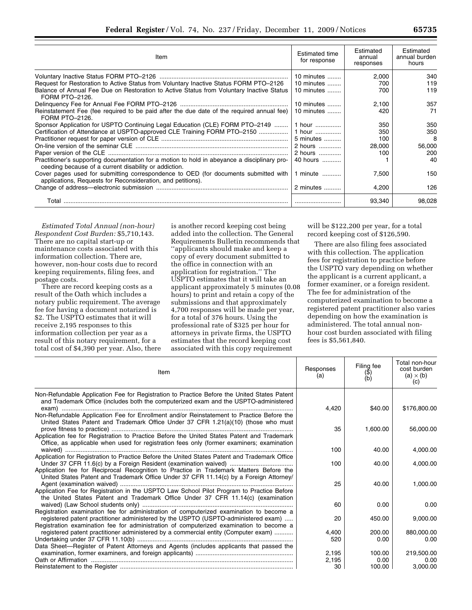| Item                                                                                                                                                  | <b>Estimated time</b><br>for response | Estimated<br>annual<br>responses | Estimated<br>annual burden<br>hours |
|-------------------------------------------------------------------------------------------------------------------------------------------------------|---------------------------------------|----------------------------------|-------------------------------------|
|                                                                                                                                                       | 10 minutes $\ldots$                   | 2,000                            | 340                                 |
| Request for Restoration to Active Status from Voluntary Inactive Status FORM PTO-2126                                                                 | 10 minutes $\dots$                    | 700                              | 119                                 |
| Balance of Annual Fee Due on Restoration to Active Status from Voluntary Inactive Status<br>FORM PTO-2126.                                            | 10 minutes $\ldots$                   | 700                              | 119                                 |
|                                                                                                                                                       | 10 minutes                            | 2,100                            | 357                                 |
| Reinstatement Fee (fee required to be paid after the due date of the required annual fee)<br>FORM PTO-2126.                                           | 10 minutes $\ldots$                   | 420                              | 71                                  |
| Sponsor Application for USPTO Continuing Legal Education (CLE) FORM PTO-2149                                                                          | 1 hour                                | 350                              | 350                                 |
| Certification of Attendance at USPTO-approved CLE Training FORM PTO-2150                                                                              | 1 hour                                | 350                              | 350                                 |
|                                                                                                                                                       | 5 minutes                             | 100                              | 8                                   |
|                                                                                                                                                       | 2 hours                               | 28,000                           | 56,000                              |
|                                                                                                                                                       | 2 hours                               | 100                              | 200                                 |
| Practitioner's supporting documentation for a motion to hold in abeyance a disciplinary pro-<br>ceeding because of a current disability or addiction. | 40 hours                              |                                  | 40                                  |
| Cover pages used for submitting correspondence to OED (for documents submitted with<br>applications, Requests for Reconsideration, and petitions).    | 1 minute                              | 7,500                            | 150                                 |
|                                                                                                                                                       | 2 minutes                             | 4,200                            | 126                                 |
| Total                                                                                                                                                 |                                       | 93,340                           | 98,028                              |

*Estimated Total Annual (non-hour) Respondent Cost Burden:* \$5,710,143. There are no capital start-up or maintenance costs associated with this information collection. There are, however, non-hour costs due to record keeping requirements, filing fees, and postage costs.

There are record keeping costs as a result of the Oath which includes a notary public requirement. The average fee for having a document notarized is \$2. The USPTO estimates that it will receive 2,195 responses to this information collection per year as a result of this notary requirement, for a total cost of \$4,390 per year. Also, there

is another record keeping cost being added into the collection. The General Requirements Bulletin recommends that ''applicants should make and keep a copy of every document submitted to the office in connection with an application for registration.'' The USPTO estimates that it will take an applicant approximately 5 minutes (0.08 hours) to print and retain a copy of the submissions and that approximately 4,700 responses will be made per year, for a total of 376 hours. Using the professional rate of \$325 per hour for attorneys in private firms, the USPTO estimates that the record keeping cost associated with this copy requirement

will be \$122,200 per year, for a total record keeping cost of \$126,590.

There are also filing fees associated with this collection. The application fees for registration to practice before the USPTO vary depending on whether the applicant is a current applicant, a former examiner, or a foreign resident. The fee for administration of the computerized examination to become a registered patent practitioner also varies depending on how the examination is administered. The total annual nonhour cost burden associated with filing fees is \$5,561,840.

| Item                                                                                                                                                                                                                                                                                                                                                              | Responses<br>(a) | Filing fee<br>$(\mathfrak{P})$<br>(b) | Total non-hour<br>cost burden<br>$(a) \times (b)$<br>(c) |
|-------------------------------------------------------------------------------------------------------------------------------------------------------------------------------------------------------------------------------------------------------------------------------------------------------------------------------------------------------------------|------------------|---------------------------------------|----------------------------------------------------------|
| Non-Refundable Application Fee for Registration to Practice Before the United States Patent<br>and Trademark Office (includes both the computerized exam and the USPTO-administered                                                                                                                                                                               |                  |                                       |                                                          |
| Non-Refundable Application Fee for Enrollment and/or Reinstatement to Practice Before the<br>United States Patent and Trademark Office Under 37 CFR 1.21(a)(10) (those who must                                                                                                                                                                                   | 4,420            | \$40.00                               | \$176,800.00                                             |
| Application fee for Registration to Practice Before the United States Patent and Trademark<br>Office, as applicable when used for registration fees only (former examiners; examination                                                                                                                                                                           | 35               | 1,600.00                              | 56,000.00                                                |
|                                                                                                                                                                                                                                                                                                                                                                   | 100              | 40.00                                 | 4,000.00                                                 |
| Application for Registration to Practice Before the United States Patent and Trademark Office                                                                                                                                                                                                                                                                     | 100              | 40.00                                 | 4,000.00                                                 |
| Application fee for Reciprocal Recognition to Practice in Trademark Matters Before the<br>United States Patent and Trademark Office Under 37 CFR 11.14(c) by a Foreign Attorney/<br>Application Fee for Registration in the USPTO Law School Pilot Program to Practice Before<br>the United States Patent and Trademark Office Under 37 CFR 11.14(c) (examination | 25               | 40.00                                 | 1,000.00                                                 |
|                                                                                                                                                                                                                                                                                                                                                                   | 60               | 0.00                                  | 0.00                                                     |
| Registration examination fee for administration of computerized examination to become a<br>registered patent practitioner administered by the USPTO (USPTO-administered exam)<br>Registration examination fee for administration of computerized examination to become a                                                                                          | 20               | 450.00                                | 9,000.00                                                 |
| registered patent practitioner administered by a commercial entity (Computer exam)                                                                                                                                                                                                                                                                                | 4,400<br>520     | 200.00<br>0.00                        | 880,000.00<br>0.00                                       |
| Data Sheet-Register of Patent Attorneys and Agents (includes applicants that passed the                                                                                                                                                                                                                                                                           | 2,195            | 100.00                                | 219,500.00                                               |
|                                                                                                                                                                                                                                                                                                                                                                   | 2,195            | 0.00                                  | 0.00                                                     |
|                                                                                                                                                                                                                                                                                                                                                                   | 30               | 100.00                                | 3.000.00                                                 |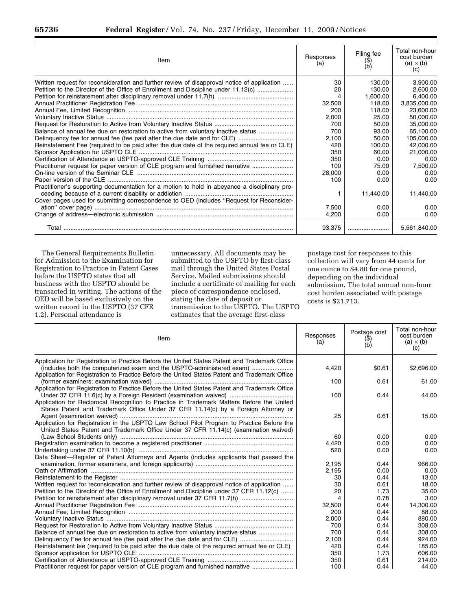| Item                                                                                         | Responses<br>(a) | Filing fee<br>(\$) | Total non-hour<br>cost burden<br>$(a) \times (b)$<br>$\left( c\right)$ |
|----------------------------------------------------------------------------------------------|------------------|--------------------|------------------------------------------------------------------------|
| Written request for reconsideration and further review of disapproval notice of application  | 30               | 130.00             | 3,900.00                                                               |
| Petition to the Director of the Office of Enrollment and Discipline under 11.12(c)           | 20               | 130.00             | 2,600.00                                                               |
|                                                                                              | 4                | 1,600.00           | 6,400.00                                                               |
|                                                                                              | 32,500           | 118.00             | 3,835,000.00                                                           |
|                                                                                              | 200              | 118.00             | 23,600.00                                                              |
|                                                                                              | 2,000            | 25.00              | 50.000.00                                                              |
|                                                                                              | 700              | 50.00              | 35,000.00                                                              |
| Balance of annual fee due on restoration to active from voluntary inactive status            | 700              | 93.00              | 65,100.00                                                              |
|                                                                                              | 2,100            | 50.00              | 105,000.00                                                             |
| Reinstatement Fee (required to be paid after the due date of the required annual fee or CLE) | 420              | 100.00             | 42,000.00                                                              |
|                                                                                              | 350              | 60.00              | 21,000.00                                                              |
|                                                                                              | 350              | 0.00               | 0.00                                                                   |
| Practitioner request for paper version of CLE program and furnished narrative                | 100              | 75.00              | 7,500.00                                                               |
|                                                                                              | 28,000           | 0.00               | 0.00                                                                   |
|                                                                                              | 100              | 0.00               | 0.00                                                                   |
| Practitioner's supporting documentation for a motion to hold in abeyance a disciplinary pro- |                  |                    |                                                                        |
|                                                                                              |                  | 11,440.00          | 11,440.00                                                              |
| Cover pages used for submitting correspondence to OED (includes "Request for Reconsider-     |                  |                    |                                                                        |
|                                                                                              | 7,500            | 0.00               | 0.00                                                                   |
|                                                                                              | 4,200            | 0.00               | 0.00                                                                   |
|                                                                                              | 93.375           |                    | 5.561.840.00                                                           |

The General Requirements Bulletin for Admission to the Examination for Registration to Practice in Patent Cases before the USPTO states that all business with the USPTO should be transacted in writing. The actions of the OED will be based exclusively on the written record in the USPTO (37 CFR 1.2). Personal attendance is

unnecessary. All documents may be submitted to the USPTO by first-class mail through the United States Postal Service. Mailed submissions should include a certificate of mailing for each piece of correspondence enclosed, stating the date of deposit or transmission to the USPTO. The USPTO estimates that the average first-class

postage cost for responses to this collection will vary from 44 cents for one ounce to \$4.80 for one pound, depending on the individual submission. The total annual non-hour cost burden associated with postage costs is \$21,713.

| Item                                                                                          | Responses<br>(a) | Postage cost<br>(\$)<br>(b) | Total non-hour<br>cost burden<br>$(a) \times (b)$<br>(c) |
|-----------------------------------------------------------------------------------------------|------------------|-----------------------------|----------------------------------------------------------|
| Application for Registration to Practice Before the United States Patent and Trademark Office |                  |                             |                                                          |
| (includes both the computerized exam and the USPTO-administered exam)                         | 4,420            | \$0.61                      | \$2,696.00                                               |
| Application for Registration to Practice Before the United States Patent and Trademark Office | 100              | 0.61                        | 61.00                                                    |
| Application for Registration to Practice Before the United States Patent and Trademark Office |                  |                             |                                                          |
|                                                                                               | 100              | 0.44                        | 44.00                                                    |
| Application for Reciprocal Recognition to Practice in Trademark Matters Before the United     |                  |                             |                                                          |
| States Patent and Trademark Office Under 37 CFR 11.14(c) by a Foreign Attorney or             |                  |                             |                                                          |
|                                                                                               | 25               | 0.61                        | 15.00                                                    |
| Application for Registration in the USPTO Law School Pilot Program to Practice Before the     |                  |                             |                                                          |
| United States Patent and Trademark Office Under 37 CFR 11.14(c) (examination waived)          |                  |                             |                                                          |
|                                                                                               | 60               | 0.00                        | 0.00                                                     |
|                                                                                               | 4.420            | 0.00                        | 0.00                                                     |
|                                                                                               | 520              | 0.00                        | 0.00                                                     |
| Data Sheet-Register of Patent Attorneys and Agents (includes applicants that passed the       |                  |                             |                                                          |
|                                                                                               | 2,195            | 0.44                        | 966.00                                                   |
|                                                                                               | 2,195            | 0.00                        | 0.00                                                     |
|                                                                                               | 30               | 0.44                        | 13.00                                                    |
| Written request for reconsideration and further review of disapproval notice of application   | 30               | 0.61                        | 18.00                                                    |
| Petition to the Director of the Office of Enrollment and Discipline under 37 CFR 11.12(c)     | 20               | 1.73                        | 35.00                                                    |
| Petition for reinstatement after disciplinary removal under 37 CFR 11.7(h)                    | 4                | 0.78                        | 3.00                                                     |
|                                                                                               | 32,500           | 0.44                        | 14,300.00                                                |
|                                                                                               | 200              | 0.44                        | 88.00                                                    |
|                                                                                               | 2,000            | 0.44                        | 880.00                                                   |
|                                                                                               | 700              | 0.44                        | 308.00                                                   |
| Balance of annual fee due on restoration to active from voluntary inactive status             | 700              | 0.44                        | 308.00                                                   |
|                                                                                               | 2,100            | 0.44                        | 924.00                                                   |
| Reinstatement fee (required to be paid after the due date of the required annual fee or CLE)  | 420              | 0.44                        | 185.00                                                   |
|                                                                                               | 350              | 1.73                        | 606.00                                                   |
|                                                                                               | 350              | 0.61                        | 214.00                                                   |
| Practitioner request for paper version of CLE program and furnished narrative                 | 100              | 0.44                        | 44.00                                                    |